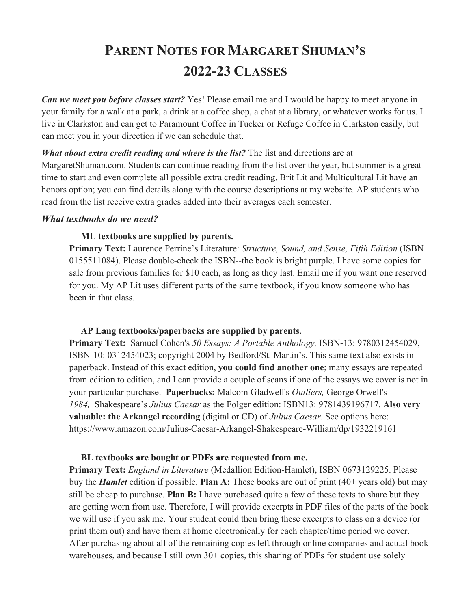# **PARENT NOTES FOR MARGARET SHUMAN'S 2022-23 CLASSES**

*Can we meet you before classes start?* Yes! Please email me and I would be happy to meet anyone in your family for a walk at a park, a drink at a coffee shop, a chat at a library, or whatever works for us. I live in Clarkston and can get to Paramount Coffee in Tucker or Refuge Coffee in Clarkston easily, but can meet you in your direction if we can schedule that.

#### *What about extra credit reading and where is the list?* The list and directions are at

MargaretShuman.com. Students can continue reading from the list over the year, but summer is a great time to start and even complete all possible extra credit reading. Brit Lit and Multicultural Lit have an honors option; you can find details along with the course descriptions at my website. AP students who read from the list receive extra grades added into their averages each semester.

### *What textbooks do we need?*

#### **ML textbooks are supplied by parents.**

**Primary Text:** Laurence Perrine's Literature: *Structure, Sound, and Sense, Fifth Edition* (ISBN 0155511084). Please double-check the ISBN--the book is bright purple. I have some copies for sale from previous families for \$10 each, as long as they last. Email me if you want one reserved for you. My AP Lit uses different parts of the same textbook, if you know someone who has been in that class.

### **AP Lang textbooks/paperbacks are supplied by parents.**

**Primary Text:** Samuel Cohen's *50 Essays: A Portable Anthology,* ISBN-13: 9780312454029, ISBN-10: 0312454023; copyright 2004 by Bedford/St. Martin's. This same text also exists in paperback. Instead of this exact edition, **you could find another one**; many essays are repeated from edition to edition, and I can provide a couple of scans if one of the essays we cover is not in your particular purchase. **Paperbacks:** Malcom Gladwell's *Outliers,* George Orwell's *1984,* Shakespeare's *Julius Caesar* as the Folger edition: ISBN13: 9781439196717. **Also very valuable: the Arkangel recording** (digital or CD) of *Julius Caesar*. See options here: https://www.amazon.com/Julius-Caesar-Arkangel-Shakespeare-William/dp/1932219161

#### **BL textbooks are bought or PDFs are requested from me.**

**Primary Text:** *England in Literature* (Medallion Edition-Hamlet), ISBN 0673129225. Please buy the *Hamlet* edition if possible. **Plan A:** These books are out of print (40+ years old) but may still be cheap to purchase. **Plan B:** I have purchased quite a few of these texts to share but they are getting worn from use. Therefore, I will provide excerpts in PDF files of the parts of the book we will use if you ask me. Your student could then bring these excerpts to class on a device (or print them out) and have them at home electronically for each chapter/time period we cover. After purchasing about all of the remaining copies left through online companies and actual book warehouses, and because I still own 30+ copies, this sharing of PDFs for student use solely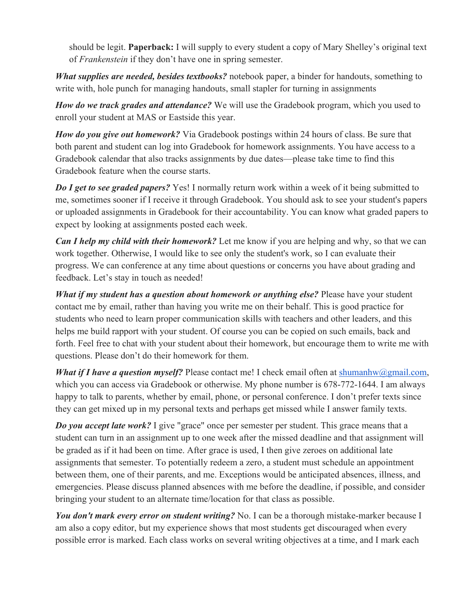should be legit. **Paperback:** I will supply to every student a copy of Mary Shelley's original text of *Frankenstein* if they don't have one in spring semester.

*What supplies are needed, besides textbooks?* notebook paper, a binder for handouts, something to write with, hole punch for managing handouts, small stapler for turning in assignments

*How do we track grades and attendance?* We will use the Gradebook program, which you used to enroll your student at MAS or Eastside this year.

*How do you give out homework?* Via Gradebook postings within 24 hours of class. Be sure that both parent and student can log into Gradebook for homework assignments. You have access to a Gradebook calendar that also tracks assignments by due dates—please take time to find this Gradebook feature when the course starts.

*Do I get to see graded papers?* Yes! I normally return work within a week of it being submitted to me, sometimes sooner if I receive it through Gradebook. You should ask to see your student's papers or uploaded assignments in Gradebook for their accountability. You can know what graded papers to expect by looking at assignments posted each week.

*Can I help my child with their homework?* Let me know if you are helping and why, so that we can work together. Otherwise, I would like to see only the student's work, so I can evaluate their progress. We can conference at any time about questions or concerns you have about grading and feedback. Let's stay in touch as needed!

*What if my student has a question about homework or anything else?* Please have your student contact me by email, rather than having you write me on their behalf. This is good practice for students who need to learn proper communication skills with teachers and other leaders, and this helps me build rapport with your student. Of course you can be copied on such emails, back and forth. Feel free to chat with your student about their homework, but encourage them to write me with questions. Please don't do their homework for them.

*What if I have a question myself?* Please contact me! I check email often at shumanhw@gmail.com, which you can access via Gradebook or otherwise. My phone number is 678-772-1644. I am always happy to talk to parents, whether by email, phone, or personal conference. I don't prefer texts since they can get mixed up in my personal texts and perhaps get missed while I answer family texts.

*Do you accept late work?* I give "grace" once per semester per student. This grace means that a student can turn in an assignment up to one week after the missed deadline and that assignment will be graded as if it had been on time. After grace is used, I then give zeroes on additional late assignments that semester. To potentially redeem a zero, a student must schedule an appointment between them, one of their parents, and me. Exceptions would be anticipated absences, illness, and emergencies. Please discuss planned absences with me before the deadline, if possible, and consider bringing your student to an alternate time/location for that class as possible.

*You don't mark every error on student writing?* No. I can be a thorough mistake-marker because I am also a copy editor, but my experience shows that most students get discouraged when every possible error is marked. Each class works on several writing objectives at a time, and I mark each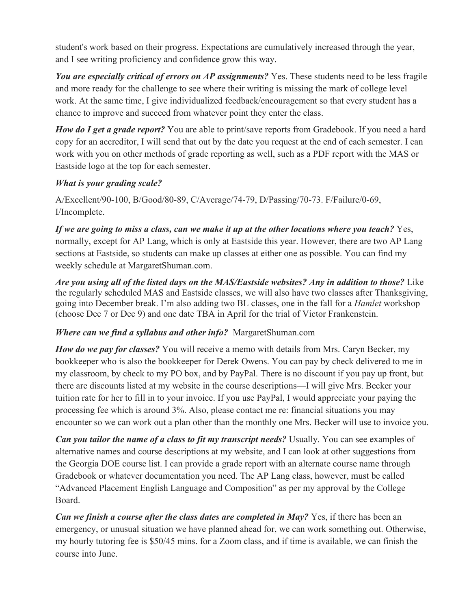student's work based on their progress. Expectations are cumulatively increased through the year, and I see writing proficiency and confidence grow this way.

*You are especially critical of errors on AP assignments?* Yes. These students need to be less fragile and more ready for the challenge to see where their writing is missing the mark of college level work. At the same time, I give individualized feedback/encouragement so that every student has a chance to improve and succeed from whatever point they enter the class.

*How do I get a grade report?* You are able to print/save reports from Gradebook. If you need a hard copy for an accreditor, I will send that out by the date you request at the end of each semester. I can work with you on other methods of grade reporting as well, such as a PDF report with the MAS or Eastside logo at the top for each semester.

## *What is your grading scale?*

A/Excellent/90-100, B/Good/80-89, C/Average/74-79, D/Passing/70-73. F/Failure/0-69, I/Incomplete.

*If we are going to miss a class, can we make it up at the other locations where you teach?* Yes, normally, except for AP Lang, which is only at Eastside this year. However, there are two AP Lang sections at Eastside, so students can make up classes at either one as possible. You can find my weekly schedule at MargaretShuman.com.

*Are you using all of the listed days on the MAS/Eastside websites? Any in addition to those?* Like the regularly scheduled MAS and Eastside classes, we will also have two classes after Thanksgiving, going into December break. I'm also adding two BL classes, one in the fall for a *Hamlet* workshop (choose Dec 7 or Dec 9) and one date TBA in April for the trial of Victor Frankenstein.

## *Where can we find a syllabus and other info?* MargaretShuman.com

*How do we pay for classes?* You will receive a memo with details from Mrs. Caryn Becker, my bookkeeper who is also the bookkeeper for Derek Owens. You can pay by check delivered to me in my classroom, by check to my PO box, and by PayPal. There is no discount if you pay up front, but there are discounts listed at my website in the course descriptions—I will give Mrs. Becker your tuition rate for her to fill in to your invoice. If you use PayPal, I would appreciate your paying the processing fee which is around 3%. Also, please contact me re: financial situations you may encounter so we can work out a plan other than the monthly one Mrs. Becker will use to invoice you.

*Can you tailor the name of a class to fit my transcript needs?* Usually. You can see examples of alternative names and course descriptions at my website, and I can look at other suggestions from the Georgia DOE course list. I can provide a grade report with an alternate course name through Gradebook or whatever documentation you need. The AP Lang class, however, must be called "Advanced Placement English Language and Composition" as per my approval by the College Board.

*Can we finish a course after the class dates are completed in May?* Yes, if there has been an emergency, or unusual situation we have planned ahead for, we can work something out. Otherwise, my hourly tutoring fee is \$50/45 mins. for a Zoom class, and if time is available, we can finish the course into June.